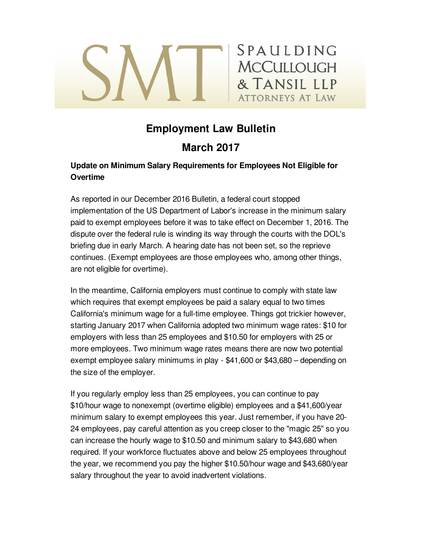# **MCCULLOUGH** & TANSIL LLP ATTORNEYS AT LAW

# **Employment Law Bulletin**

SPAULDING

## **March 2017**

### **Update on Minimum Salary Requirements for Employees Not Eligible for Overtime**

As reported in our December 2016 Bulletin, a federal court stopped implementation of the US Department of Labor's increase in the minimum salary paid to exempt employees before it was to take effect on December 1, 2016. The dispute over the federal rule is winding its way through the courts with the DOL's briefing due in early March. A hearing date has not been set, so the reprieve continues. (Exempt employees are those employees who, among other things, are not eligible for overtime).

In the meantime, California employers must continue to comply with state law which requires that exempt employees be paid a salary equal to two times California's minimum wage for a full-time employee. Things got trickier however, starting January 2017 when California adopted two minimum wage rates: \$10 for employers with less than 25 employees and \$10.50 for employers with 25 or more employees. Two minimum wage rates means there are now two potential exempt employee salary minimums in play - \$41,600 or \$43,680 – depending on the size of the employer.

If you regularly employ less than 25 employees, you can continue to pay \$10/hour wage to nonexempt (overtime eligible) employees and a \$41,600/year minimum salary to exempt employees this year. Just remember, if you have 20- 24 employees, pay careful attention as you creep closer to the "magic 25" so you can increase the hourly wage to \$10.50 and minimum salary to \$43,680 when required. If your workforce fluctuates above and below 25 employees throughout the year, we recommend you pay the higher \$10.50/hour wage and \$43,680/year salary throughout the year to avoid inadvertent violations.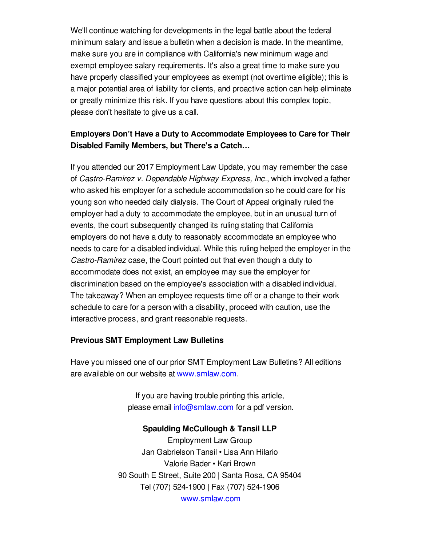We'll continue watching for developments in the legal battle about the federal minimum salary and issue a bulletin when a decision is made. In the meantime, make sure you are in compliance with California's new minimum wage and exempt employee salary requirements. It's also a great time to make sure you have properly classified your employees as exempt (not overtime eligible); this is a major potential area of liability for clients, and proactive action can help eliminate or greatly minimize this risk. If you have questions about this complex topic, please don't hesitate to give us a call.

### **Employers Don't Have a Duty to Accommodate Employees to Care for Their Disabled Family Members, but There's a Catch…**

If you attended our 2017 Employment Law Update, you may remember the case of *Castro-Ramirez v. Dependable Highway Express, Inc.*, which involved a father who asked his employer for a schedule accommodation so he could care for his young son who needed daily dialysis. The Court of Appeal originally ruled the employer had a duty to accommodate the employee, but in an unusual turn of events, the court subsequently changed its ruling stating that California employers do not have a duty to reasonably accommodate an employee who needs to care for a disabled individual. While this ruling helped the employer in the *Castro-Ramirez* case, the Court pointed out that even though a duty to accommodate does not exist, an employee may sue the employer for discrimination based on the employee's association with a disabled individual. The takeaway? When an employee requests time off or a change to their work schedule to care for a person with a disability, proceed with caution, use the interactive process, and grant reasonable requests.

#### **Previous SMT Employment Law Bulletins**

Have you missed one of our prior SMT Employment Law Bulletins? All editions are available on our website at [www.smlaw.com](http://www.smlaw.com/publications#labor-%26_employment).

> If you are having trouble printing this article, please email [info@smlaw.com](mailto:info@smlaw.com) for a pdf version.

#### **Spaulding McCullough & Tansil LLP**

Employment Law Group Jan Gabrielson Tansil • Lisa Ann Hilario Valorie Bader • Kari Brown 90 South E Street, Suite 200 | Santa Rosa, CA 95404 Tel (707) 524-1900 | Fax (707) 524-1906 [www.smlaw.com](http://www.smlaw.com)